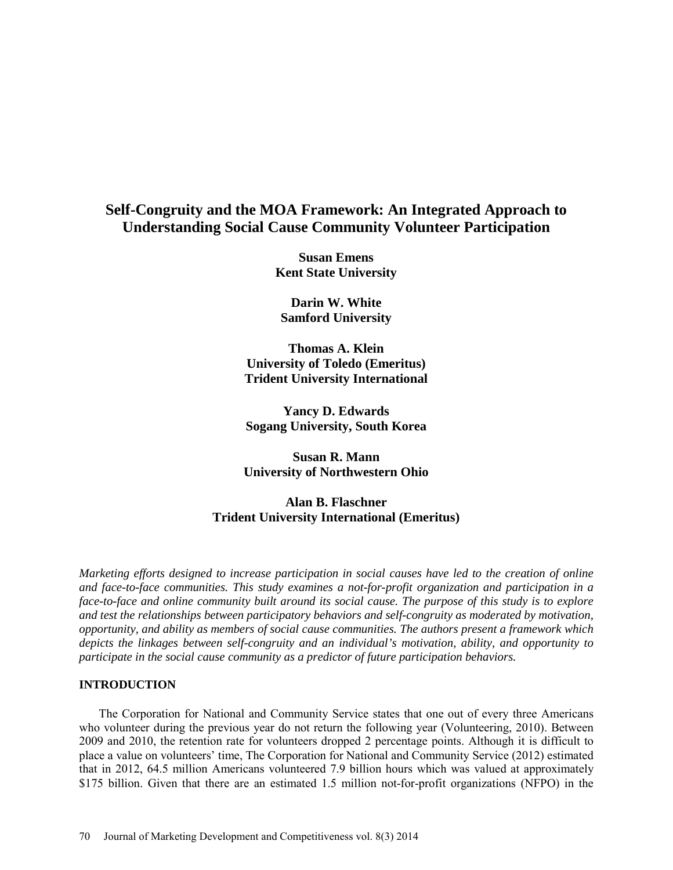# **Self-Congruity and the MOA Framework: An Integrated Approach to Understanding Social Cause Community Volunteer Participation**

**Susan Emens Kent State University**

**Darin W. White Samford University**

**Thomas A. Klein University of Toledo (Emeritus) Trident University International** 

**Yancy D. Edwards Sogang University, South Korea** 

**Susan R. Mann University of Northwestern Ohio**

**Alan B. Flaschner Trident University International (Emeritus)**

*Marketing efforts designed to increase participation in social causes have led to the creation of online and face-to-face communities. This study examines a not-for-profit organization and participation in a face-to-face and online community built around its social cause. The purpose of this study is to explore and test the relationships between participatory behaviors and self-congruity as moderated by motivation, opportunity, and ability as members of social cause communities. The authors present a framework which depicts the linkages between self-congruity and an individual's motivation, ability, and opportunity to participate in the social cause community as a predictor of future participation behaviors.* 

#### **INTRODUCTION**

The Corporation for National and Community Service states that one out of every three Americans who volunteer during the previous year do not return the following year (Volunteering, 2010). Between 2009 and 2010, the retention rate for volunteers dropped 2 percentage points. Although it is difficult to place a value on volunteers' time, The Corporation for National and Community Service (2012) estimated that in 2012, 64.5 million Americans volunteered 7.9 billion hours which was valued at approximately \$175 billion. Given that there are an estimated 1.5 million not-for-profit organizations (NFPO) in the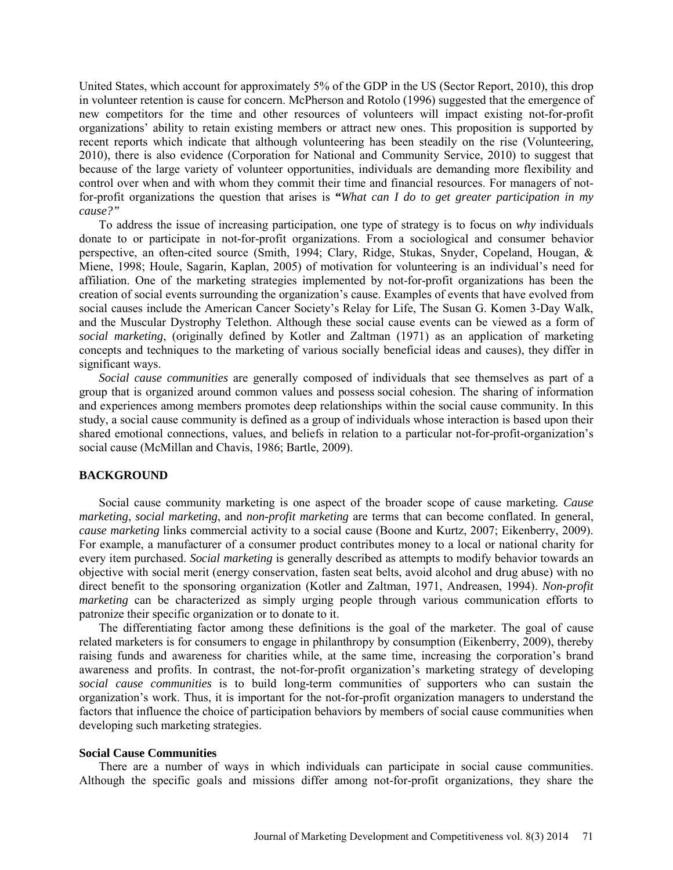United States, which account for approximately 5% of the GDP in the US (Sector Report, 2010), this drop in volunteer retention is cause for concern. McPherson and Rotolo (1996) suggested that the emergence of new competitors for the time and other resources of volunteers will impact existing not-for-profit organizations' ability to retain existing members or attract new ones. This proposition is supported by recent reports which indicate that although volunteering has been steadily on the rise (Volunteering, 2010), there is also evidence (Corporation for National and Community Service, 2010) to suggest that because of the large variety of volunteer opportunities, individuals are demanding more flexibility and control over when and with whom they commit their time and financial resources. For managers of notfor-profit organizations the question that arises is **"***What can I do to get greater participation in my cause?"* 

To address the issue of increasing participation, one type of strategy is to focus on *why* individuals donate to or participate in not-for-profit organizations. From a sociological and consumer behavior perspective, an often-cited source (Smith, 1994; Clary, Ridge, Stukas, Snyder, Copeland, Hougan, & Miene, 1998; Houle, Sagarin, Kaplan, 2005) of motivation for volunteering is an individual's need for affiliation. One of the marketing strategies implemented by not-for-profit organizations has been the creation of social events surrounding the organization's cause. Examples of events that have evolved from social causes include the American Cancer Society's Relay for Life, The Susan G. Komen 3-Day Walk, and the Muscular Dystrophy Telethon. Although these social cause events can be viewed as a form of *social marketing*, (originally defined by Kotler and Zaltman (1971) as an application of marketing concepts and techniques to the marketing of various socially beneficial ideas and causes), they differ in significant ways.

*Social cause communities* are generally composed of individuals that see themselves as part of a group that is organized around common values and possess social cohesion. The sharing of information and experiences among members promotes deep relationships within the social cause community. In this study, a social cause community is defined as a group of individuals whose interaction is based upon their shared emotional connections, values, and beliefs in relation to a particular not-for-profit-organization's social cause (McMillan and Chavis, 1986; Bartle, 2009).

#### **BACKGROUND**

Social cause community marketing is one aspect of the broader scope of cause marketing*. Cause marketing*, *social marketing*, and *non-profit marketing* are terms that can become conflated. In general, *cause marketing* links commercial activity to a social cause (Boone and Kurtz, 2007; Eikenberry, 2009). For example, a manufacturer of a consumer product contributes money to a local or national charity for every item purchased. *Social marketing* is generally described as attempts to modify behavior towards an objective with social merit (energy conservation, fasten seat belts, avoid alcohol and drug abuse) with no direct benefit to the sponsoring organization (Kotler and Zaltman, 1971, Andreasen, 1994). *Non-profit marketing* can be characterized as simply urging people through various communication efforts to patronize their specific organization or to donate to it.

The differentiating factor among these definitions is the goal of the marketer. The goal of cause related marketers is for consumers to engage in philanthropy by consumption (Eikenberry, 2009), thereby raising funds and awareness for charities while, at the same time, increasing the corporation's brand awareness and profits. In contrast, the not-for-profit organization's marketing strategy of developing *social cause communities* is to build long-term communities of supporters who can sustain the organization's work. Thus, it is important for the not-for-profit organization managers to understand the factors that influence the choice of participation behaviors by members of social cause communities when developing such marketing strategies.

#### **Social Cause Communities**

There are a number of ways in which individuals can participate in social cause communities. Although the specific goals and missions differ among not-for-profit organizations, they share the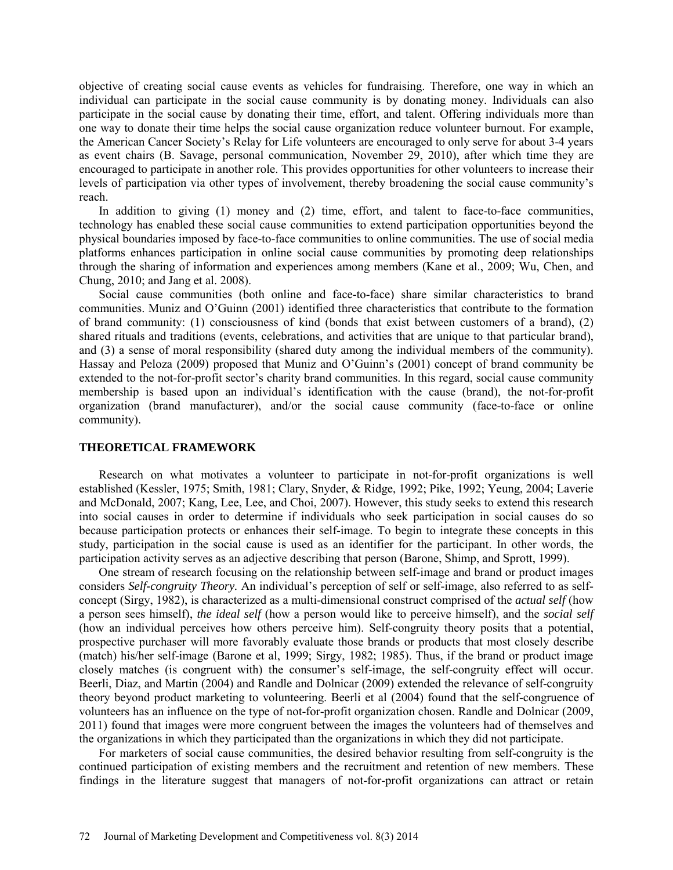objective of creating social cause events as vehicles for fundraising. Therefore, one way in which an individual can participate in the social cause community is by donating money. Individuals can also participate in the social cause by donating their time, effort, and talent. Offering individuals more than one way to donate their time helps the social cause organization reduce volunteer burnout. For example, the American Cancer Society's Relay for Life volunteers are encouraged to only serve for about 3-4 years as event chairs (B. Savage, personal communication, November 29, 2010), after which time they are encouraged to participate in another role. This provides opportunities for other volunteers to increase their levels of participation via other types of involvement, thereby broadening the social cause community's reach.

In addition to giving (1) money and (2) time, effort, and talent to face-to-face communities, technology has enabled these social cause communities to extend participation opportunities beyond the physical boundaries imposed by face-to-face communities to online communities. The use of social media platforms enhances participation in online social cause communities by promoting deep relationships through the sharing of information and experiences among members (Kane et al., 2009; Wu, Chen, and Chung, 2010; and Jang et al. 2008).

Social cause communities (both online and face-to-face) share similar characteristics to brand communities. Muniz and O'Guinn (2001) identified three characteristics that contribute to the formation of brand community: (1) consciousness of kind (bonds that exist between customers of a brand), (2) shared rituals and traditions (events, celebrations, and activities that are unique to that particular brand), and (3) a sense of moral responsibility (shared duty among the individual members of the community). Hassay and Peloza (2009) proposed that Muniz and O'Guinn's (2001) concept of brand community be extended to the not-for-profit sector's charity brand communities. In this regard, social cause community membership is based upon an individual's identification with the cause (brand), the not-for-profit organization (brand manufacturer), and/or the social cause community (face-to-face or online community).

# **THEORETICAL FRAMEWORK**

Research on what motivates a volunteer to participate in not-for-profit organizations is well established (Kessler, 1975; Smith, 1981; Clary, Snyder, & Ridge, 1992; Pike, 1992; Yeung, 2004; Laverie and McDonald, 2007; Kang, Lee, Lee, and Choi, 2007). However, this study seeks to extend this research into social causes in order to determine if individuals who seek participation in social causes do so because participation protects or enhances their self-image. To begin to integrate these concepts in this study, participation in the social cause is used as an identifier for the participant. In other words, the participation activity serves as an adjective describing that person (Barone, Shimp, and Sprott, 1999).

One stream of research focusing on the relationship between self-image and brand or product images considers *Self-congruity Theory.* An individual's perception of self or self-image, also referred to as selfconcept (Sirgy, 1982), is characterized as a multi-dimensional construct comprised of the *actual self* (how a person sees himself), *the ideal self* (how a person would like to perceive himself), and the *social self* (how an individual perceives how others perceive him). Self-congruity theory posits that a potential, prospective purchaser will more favorably evaluate those brands or products that most closely describe (match) his/her self-image (Barone et al, 1999; Sirgy, 1982; 1985). Thus, if the brand or product image closely matches (is congruent with) the consumer's self-image, the self-congruity effect will occur. Beerli, Diaz, and Martin (2004) and Randle and Dolnicar (2009) extended the relevance of self-congruity theory beyond product marketing to volunteering. Beerli et al (2004) found that the self-congruence of volunteers has an influence on the type of not-for-profit organization chosen. Randle and Dolnicar (2009, 2011) found that images were more congruent between the images the volunteers had of themselves and the organizations in which they participated than the organizations in which they did not participate.

For marketers of social cause communities, the desired behavior resulting from self-congruity is the continued participation of existing members and the recruitment and retention of new members. These findings in the literature suggest that managers of not-for-profit organizations can attract or retain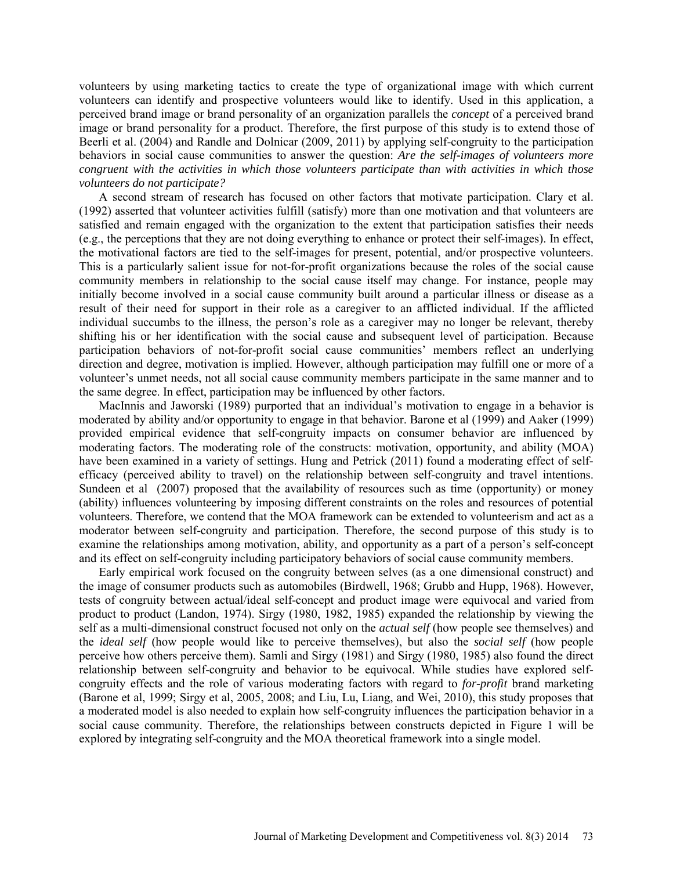volunteers by using marketing tactics to create the type of organizational image with which current volunteers can identify and prospective volunteers would like to identify. Used in this application, a perceived brand image or brand personality of an organization parallels the *concept* of a perceived brand image or brand personality for a product. Therefore, the first purpose of this study is to extend those of Beerli et al. (2004) and Randle and Dolnicar (2009, 2011) by applying self-congruity to the participation behaviors in social cause communities to answer the question: *Are the self-images of volunteers more congruent with the activities in which those volunteers participate than with activities in which those volunteers do not participate?* 

A second stream of research has focused on other factors that motivate participation. Clary et al. (1992) asserted that volunteer activities fulfill (satisfy) more than one motivation and that volunteers are satisfied and remain engaged with the organization to the extent that participation satisfies their needs (e.g., the perceptions that they are not doing everything to enhance or protect their self-images). In effect, the motivational factors are tied to the self-images for present, potential, and/or prospective volunteers. This is a particularly salient issue for not-for-profit organizations because the roles of the social cause community members in relationship to the social cause itself may change. For instance, people may initially become involved in a social cause community built around a particular illness or disease as a result of their need for support in their role as a caregiver to an afflicted individual. If the afflicted individual succumbs to the illness, the person's role as a caregiver may no longer be relevant, thereby shifting his or her identification with the social cause and subsequent level of participation. Because participation behaviors of not-for-profit social cause communities' members reflect an underlying direction and degree, motivation is implied. However, although participation may fulfill one or more of a volunteer's unmet needs, not all social cause community members participate in the same manner and to the same degree. In effect, participation may be influenced by other factors.

MacInnis and Jaworski (1989) purported that an individual's motivation to engage in a behavior is moderated by ability and/or opportunity to engage in that behavior. Barone et al (1999) and Aaker (1999) provided empirical evidence that self-congruity impacts on consumer behavior are influenced by moderating factors. The moderating role of the constructs: motivation, opportunity, and ability (MOA) have been examined in a variety of settings. Hung and Petrick (2011) found a moderating effect of selfefficacy (perceived ability to travel) on the relationship between self-congruity and travel intentions. Sundeen et al (2007) proposed that the availability of resources such as time (opportunity) or money (ability) influences volunteering by imposing different constraints on the roles and resources of potential volunteers. Therefore, we contend that the MOA framework can be extended to volunteerism and act as a moderator between self-congruity and participation. Therefore, the second purpose of this study is to examine the relationships among motivation, ability, and opportunity as a part of a person's self-concept and its effect on self-congruity including participatory behaviors of social cause community members.

Early empirical work focused on the congruity between selves (as a one dimensional construct) and the image of consumer products such as automobiles (Birdwell, 1968; Grubb and Hupp, 1968). However, tests of congruity between actual/ideal self-concept and product image were equivocal and varied from product to product (Landon, 1974). Sirgy (1980, 1982, 1985) expanded the relationship by viewing the self as a multi-dimensional construct focused not only on the *actual self* (how people see themselves) and the *ideal self* (how people would like to perceive themselves), but also the *social self* (how people perceive how others perceive them). Samli and Sirgy (1981) and Sirgy (1980, 1985) also found the direct relationship between self-congruity and behavior to be equivocal. While studies have explored selfcongruity effects and the role of various moderating factors with regard to *for-profit* brand marketing (Barone et al, 1999; Sirgy et al, 2005, 2008; and Liu, Lu, Liang, and Wei, 2010), this study proposes that a moderated model is also needed to explain how self-congruity influences the participation behavior in a social cause community. Therefore, the relationships between constructs depicted in Figure 1 will be explored by integrating self-congruity and the MOA theoretical framework into a single model.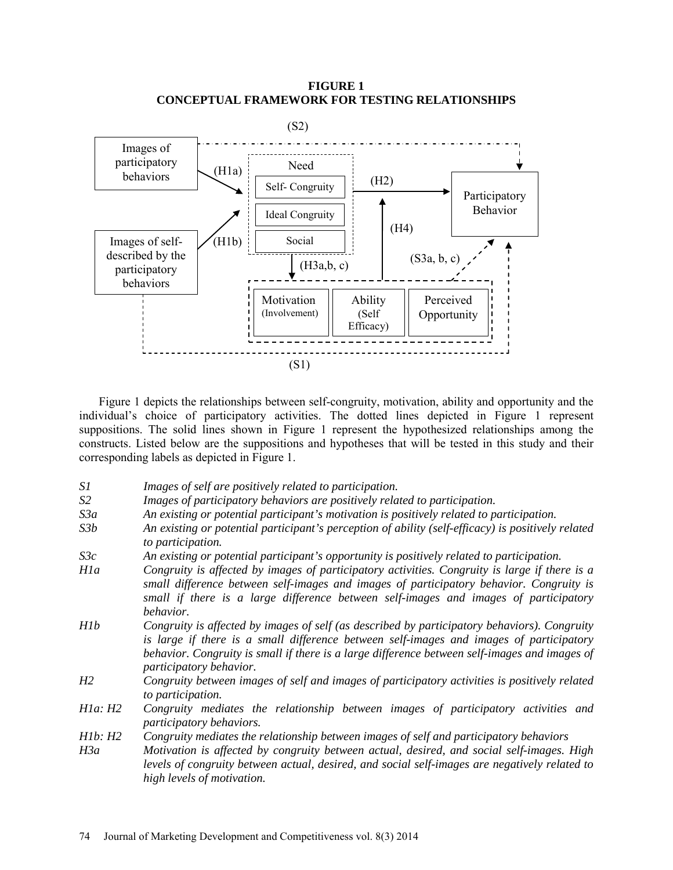**FIGURE 1 CONCEPTUAL FRAMEWORK FOR TESTING RELATIONSHIPS**



Figure 1 depicts the relationships between self-congruity, motivation, ability and opportunity and the individual's choice of participatory activities. The dotted lines depicted in Figure 1 represent suppositions. The solid lines shown in Figure 1 represent the hypothesized relationships among the constructs. Listed below are the suppositions and hypotheses that will be tested in this study and their corresponding labels as depicted in Figure 1.

- *S1 Images of self are positively related to participation.*
- *S2 Images of participatory behaviors are positively related to participation.*
- *S3a An existing or potential participant's motivation is positively related to participation.*
- *S3b An existing or potential participant's perception of ability (self-efficacy) is positively related to participation.*
- *S3c An existing or potential participant's opportunity is positively related to participation.*
- *H1a Congruity is affected by images of participatory activities. Congruity is large if there is a small difference between self-images and images of participatory behavior. Congruity is small if there is a large difference between self-images and images of participatory behavior.*
- *H1b Congruity is affected by images of self (as described by participatory behaviors). Congruity is large if there is a small difference between self-images and images of participatory behavior. Congruity is small if there is a large difference between self-images and images of participatory behavior.*
- *H2 Congruity between images of self and images of participatory activities is positively related to participation.*
- *H1a: H2 Congruity mediates the relationship between images of participatory activities and participatory behaviors.*
- *H1b: H2 Congruity mediates the relationship between images of self and participatory behaviors*
- *H3a Motivation is affected by congruity between actual, desired, and social self-images. High levels of congruity between actual, desired, and social self-images are negatively related to high levels of motivation.*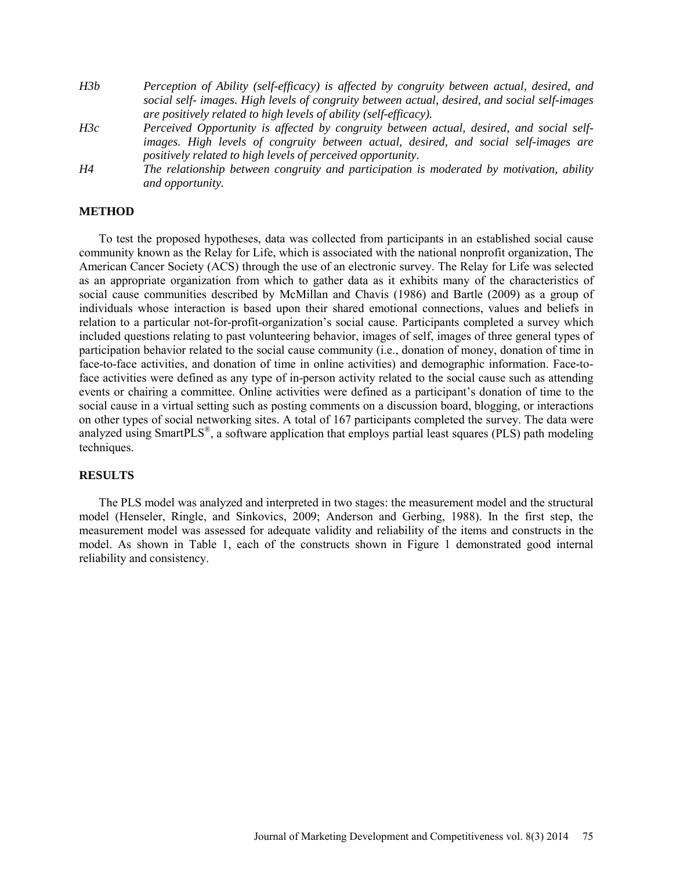- *H3b Perception of Ability (self-efficacy) is affected by congruity between actual, desired, and social self- images. High levels of congruity between actual, desired, and social self-images are positively related to high levels of ability (self-efficacy).*
- *H3c Perceived Opportunity is affected by congruity between actual, desired, and social selfimages. High levels of congruity between actual, desired, and social self-images are positively related to high levels of perceived opportunity.*
- *H4 The relationship between congruity and participation is moderated by motivation, ability and opportunity.*

### **METHOD**

To test the proposed hypotheses, data was collected from participants in an established social cause community known as the Relay for Life, which is associated with the national nonprofit organization, The American Cancer Society (ACS) through the use of an electronic survey. The Relay for Life was selected as an appropriate organization from which to gather data as it exhibits many of the characteristics of social cause communities described by McMillan and Chavis (1986) and Bartle (2009) as a group of individuals whose interaction is based upon their shared emotional connections, values and beliefs in relation to a particular not-for-profit-organization's social cause. Participants completed a survey which included questions relating to past volunteering behavior, images of self, images of three general types of participation behavior related to the social cause community (i.e., donation of money, donation of time in face-to-face activities, and donation of time in online activities) and demographic information. Face-toface activities were defined as any type of in-person activity related to the social cause such as attending events or chairing a committee. Online activities were defined as a participant's donation of time to the social cause in a virtual setting such as posting comments on a discussion board, blogging, or interactions on other types of social networking sites. A total of 167 participants completed the survey. The data were analyzed using SmartPLS®, a software application that employs partial least squares (PLS) path modeling techniques.

#### **RESULTS**

The PLS model was analyzed and interpreted in two stages: the measurement model and the structural model (Henseler, Ringle, and Sinkovics, 2009; Anderson and Gerbing, 1988). In the first step, the measurement model was assessed for adequate validity and reliability of the items and constructs in the model. As shown in Table 1, each of the constructs shown in Figure 1 demonstrated good internal reliability and consistency.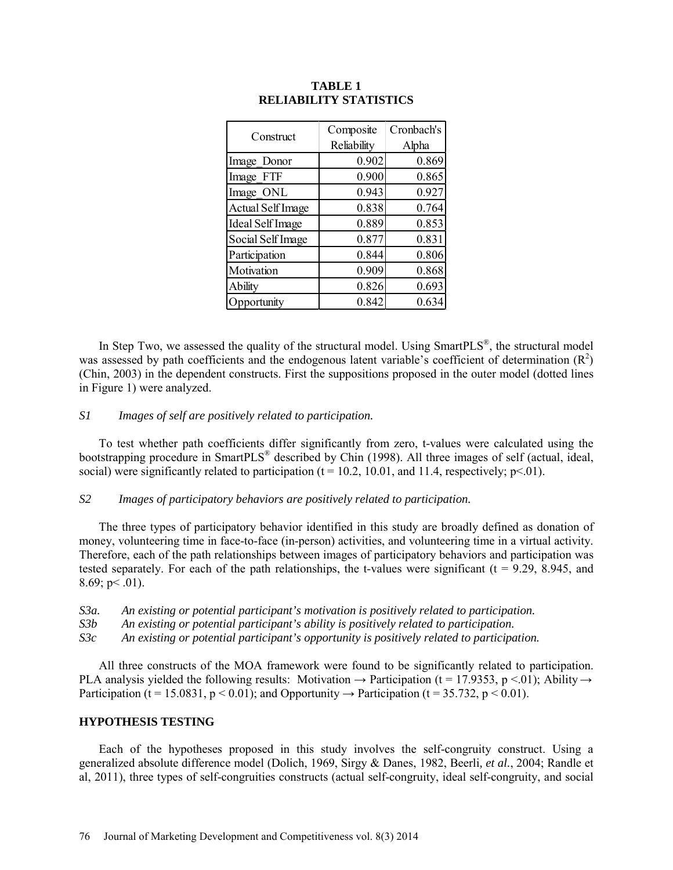| Construct                | Composite   | Cronbach's |  |
|--------------------------|-------------|------------|--|
|                          | Reliability | Alpha      |  |
| Image Donor              | 0.902       | 0.869      |  |
| Image FTF                | 0.900       | 0.865      |  |
| Image ONL                | 0.943       | 0.927      |  |
| <b>Actual Self Image</b> | 0.838       | 0.764      |  |
| <b>Ideal Self Image</b>  | 0.889       | 0.853      |  |
| Social Self Image        | 0.877       | 0.831      |  |
| Participation            | 0.844       | 0.806      |  |
| Motivation               | 0.909       | 0.868      |  |
| Ability                  | 0.826       | 0.693      |  |
| Opportunity              | 0.842       | 0.634      |  |

## **TABLE 1 RELIABILITY STATISTICS**

In Step Two, we assessed the quality of the structural model. Using SmartPLS<sup>®</sup>, the structural model was assessed by path coefficients and the endogenous latent variable's coefficient of determination  $(R^2)$ (Chin, 2003) in the dependent constructs. First the suppositions proposed in the outer model (dotted lines in Figure 1) were analyzed.

## *S1 Images of self are positively related to participation.*

To test whether path coefficients differ significantly from zero, t-values were calculated using the bootstrapping procedure in SmartPLS® described by Chin (1998). All three images of self (actual, ideal, social) were significantly related to participation ( $t = 10.2$ , 10.01, and 11.4, respectively;  $p \le 0.01$ ).

## *S2 Images of participatory behaviors are positively related to participation.*

The three types of participatory behavior identified in this study are broadly defined as donation of money, volunteering time in face-to-face (in-person) activities, and volunteering time in a virtual activity. Therefore, each of the path relationships between images of participatory behaviors and participation was tested separately. For each of the path relationships, the t-values were significant  $(t = 9.29, 8.945,$  and 8.69;  $p < .01$ ).

*S3a. An existing or potential participant's motivation is positively related to participation.*

*S3b An existing or potential participant's ability is positively related to participation.*

*S3c An existing or potential participant's opportunity is positively related to participation.*

All three constructs of the MOA framework were found to be significantly related to participation. PLA analysis yielded the following results: Motivation  $\rightarrow$  Participation (t = 17.9353, p < 01); Ability  $\rightarrow$ Participation (t = 15.0831, p < 0.01); and Opportunity  $\rightarrow$  Participation (t = 35.732, p < 0.01).

# **HYPOTHESIS TESTING**

Each of the hypotheses proposed in this study involves the self-congruity construct. Using a generalized absolute difference model (Dolich, 1969, Sirgy & Danes, 1982, Beerli*, et al.*, 2004; Randle et al, 2011), three types of self-congruities constructs (actual self-congruity, ideal self-congruity, and social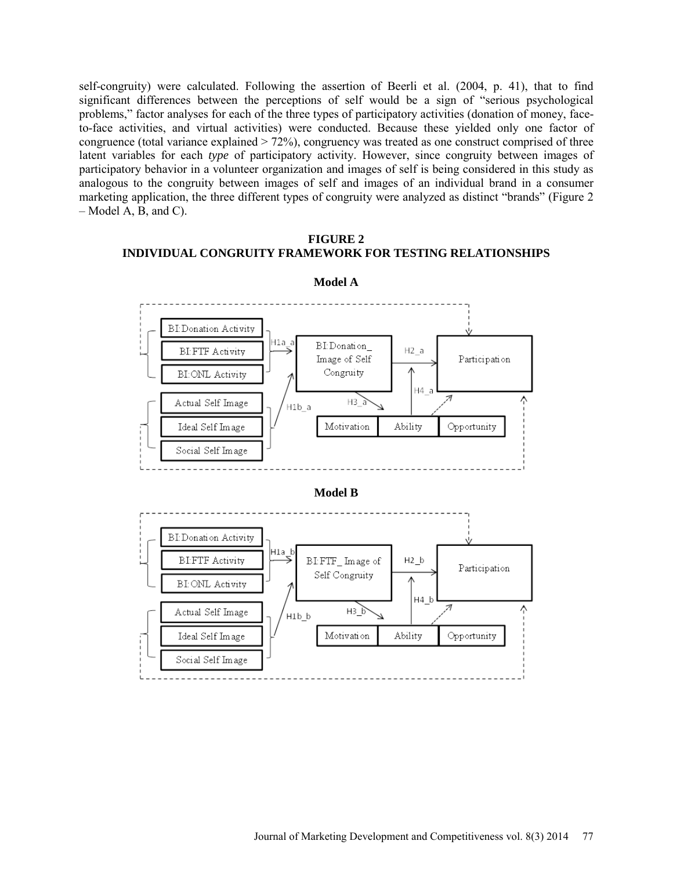self-congruity) were calculated. Following the assertion of Beerli et al. (2004, p. 41), that to find significant differences between the perceptions of self would be a sign of "serious psychological problems," factor analyses for each of the three types of participatory activities (donation of money, faceto-face activities, and virtual activities) were conducted. Because these yielded only one factor of congruence (total variance explained  $> 72\%$ ), congruency was treated as one construct comprised of three latent variables for each *type* of participatory activity. However, since congruity between images of participatory behavior in a volunteer organization and images of self is being considered in this study as analogous to the congruity between images of self and images of an individual brand in a consumer marketing application, the three different types of congruity were analyzed as distinct "brands" (Figure 2  $-$  Model A, B, and C).

# **FIGURE 2 INDIVIDUAL CONGRUITY FRAMEWORK FOR TESTING RELATIONSHIPS**



#### **Model A**

**Model B**

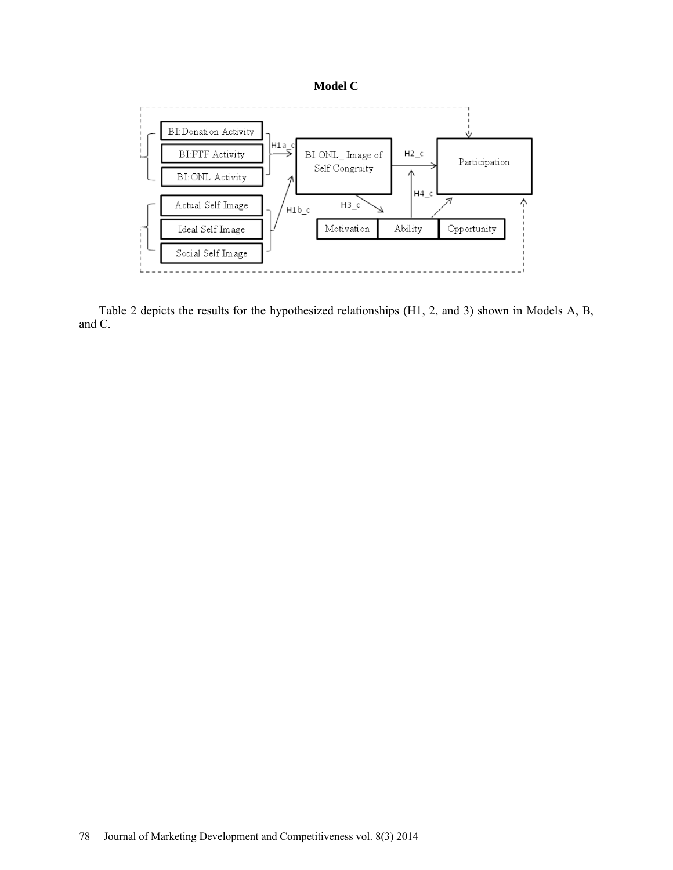



Table 2 depicts the results for the hypothesized relationships (H1, 2, and 3) shown in Models A, B, and C.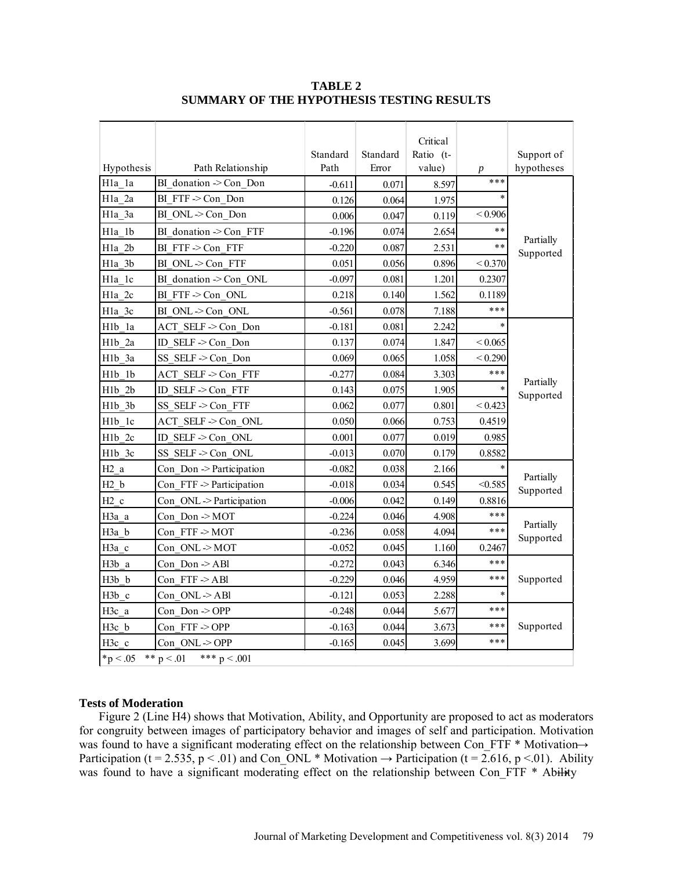|                                                 |                              |          |          | Critical  |                  |                        |
|-------------------------------------------------|------------------------------|----------|----------|-----------|------------------|------------------------|
|                                                 |                              | Standard | Standard | Ratio (t- |                  | Support of             |
| Hypothesis                                      | Path Relationship            | Path     | Error    | value)    | $\boldsymbol{p}$ | hypotheses             |
| Hla la                                          | BI donation -> Con Don       | $-0.611$ | 0.071    | 8.597     | ***              |                        |
| H <sub>1a_2a</sub>                              | BI FTF->Con Don              | 0.126    | 0.064    | 1.975     | $\ast$           | Partially<br>Supported |
| Hla 3a                                          | BI ONL->Con Don              | 0.006    | 0.047    | 0.119     | < 0.906          |                        |
| Hla lb                                          | BI donation -> Con FTF       | $-0.196$ | 0.074    | 2.654     | **               |                        |
| Hla 2b                                          | BI FTF->Con FTF              | $-0.220$ | 0.087    | 2.531     | $**$             |                        |
| Hla 3b                                          | BI ONL->Con FTF              | 0.051    | 0.056    | 0.896     | < 0.370          |                        |
| Hla lc                                          | BI donation -> Con ONL       | $-0.097$ | 0.081    | 1.201     | 0.2307           |                        |
| Hla 2c                                          | BI FTF->Con ONL              | 0.218    | 0.140    | 1.562     | 0.1189           |                        |
| Hla 3c                                          | BI ONL -> Con ONL            | $-0.561$ | 0.078    | 7.188     | ***              |                        |
| Hlb la                                          | ACT SELF->Con Don            | $-0.181$ | 0.081    | 2.242     |                  |                        |
| H <sub>1</sub> b 2a                             | ID SELF -> Con Don           | 0.137    | 0.074    | 1.847     | ${}< 0.065$      | Partially<br>Supported |
| H <sub>1</sub> b 3a                             | SS SELF -> Con Don           | 0.069    | 0.065    | 1.058     | < 0.290          |                        |
| H1b 1b                                          | ACT SELF -> Con FTF          | $-0.277$ | 0.084    | 3.303     | ***              |                        |
| H1b 2b                                          | ID SELF -> Con FTF           | 0.143    | 0.075    | 1.905     | $\ast$           |                        |
| H <sub>1</sub> b 3b                             | SS SELF -> Con FTF           | 0.062    | 0.077    | 0.801     | < 0.423          |                        |
| H <sub>1</sub> b 1c                             | ACT SELF -> Con ONL          | 0.050    | 0.066    | 0.753     | 0.4519           |                        |
| H <sub>1</sub> b <sub>2c</sub>                  | ID SELF -> Con ONL           | 0.001    | 0.077    | 0.019     | 0.985            |                        |
| H <sub>1</sub> b 3c                             | SS SELF -> Con ONL           | $-0.013$ | 0.070    | 0.179     | 0.8582           |                        |
| H <sub>2</sub> a                                | Con Don -> Participation     | $-0.082$ | 0.038    | 2.166     |                  |                        |
| H2 b                                            | Con $FTF \geq$ Participation | $-0.018$ | 0.034    | 0.545     | < 0.585          | Partially<br>Supported |
| H2c                                             | Con ONL -> Participation     | $-0.006$ | 0.042    | 0.149     | 0.8816           |                        |
| H3a a                                           | Con Don -> MOT               | $-0.224$ | 0.046    | 4.908     | ***              |                        |
| H3a b                                           | Con FTF->MOT                 | $-0.236$ | 0.058    | 4.094     | ***              | Partially<br>Supported |
| H3a c                                           | Con ONL->MOT                 | $-0.052$ | 0.045    | 1.160     | 0.2467           |                        |
| H3b a                                           | Con Don -> ABl               | $-0.272$ | 0.043    | 6.346     | ***              |                        |
| H3b b                                           | Con $FTF > AB1$              | $-0.229$ | 0.046    | 4.959     | ***              | Supported              |
| H3b c                                           | Con ONL->ABl                 | $-0.121$ | 0.053    | 2.288     |                  |                        |
| H3c a                                           | Con Don -> OPP               | $-0.248$ | 0.044    | 5.677     | ***              |                        |
| H3c b                                           | Con FTF->OPP                 | $-0.163$ | 0.044    | 3.673     | ***              | Supported              |
| H3c c                                           | Con ONL->OPP                 | $-0.165$ | 0.045    | 3.699     | ***              |                        |
| ** $p < .01$<br>*** $p < .001$<br>$*_{p}$ < .05 |                              |          |          |           |                  |                        |

**TABLE 2 SUMMARY OF THE HYPOTHESIS TESTING RESULTS**

# **Tests of Moderation**

Figure 2 (Line H4) shows that Motivation, Ability, and Opportunity are proposed to act as moderators for congruity between images of participatory behavior and images of self and participation. Motivation was found to have a significant moderating effect on the relationship between Con FTF \* Motivation  $\rightarrow$ Participation (t = 2.535, p < .01) and Con\_ONL \* Motivation  $\rightarrow$  Participation (t = 2.616, p < .01). Ability was found to have a significant moderating effect on the relationship between Con FTF  $*$  Ability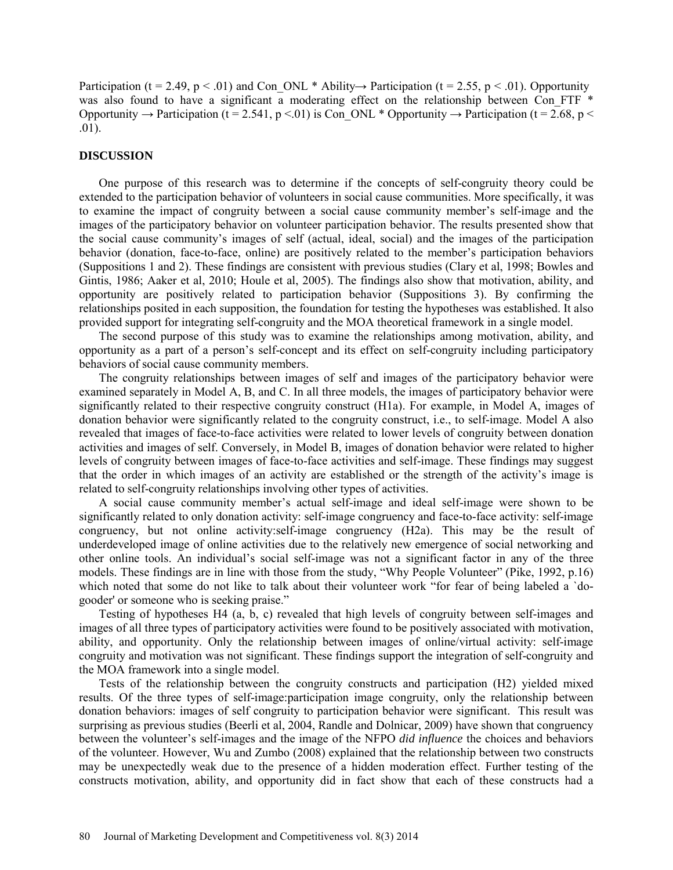Participation (t = 2.49, p < .01) and Con\_ONL \* Ability  $\rightarrow$  Participation (t = 2.55, p < .01). Opportunity was also found to have a significant a moderating effect on the relationship between Con FTF  $*$ Opportunity → Participation (t = 2.541, p < 01) is Con\_ONL \* Opportunity → Participation (t = 2.68, p < .01).

#### **DISCUSSION**

One purpose of this research was to determine if the concepts of self-congruity theory could be extended to the participation behavior of volunteers in social cause communities. More specifically, it was to examine the impact of congruity between a social cause community member's self-image and the images of the participatory behavior on volunteer participation behavior. The results presented show that the social cause community's images of self (actual, ideal, social) and the images of the participation behavior (donation, face-to-face, online) are positively related to the member's participation behaviors (Suppositions 1 and 2). These findings are consistent with previous studies (Clary et al, 1998; Bowles and Gintis, 1986; Aaker et al, 2010; Houle et al, 2005). The findings also show that motivation, ability, and opportunity are positively related to participation behavior (Suppositions 3). By confirming the relationships posited in each supposition, the foundation for testing the hypotheses was established. It also provided support for integrating self-congruity and the MOA theoretical framework in a single model.

The second purpose of this study was to examine the relationships among motivation, ability, and opportunity as a part of a person's self-concept and its effect on self-congruity including participatory behaviors of social cause community members.

The congruity relationships between images of self and images of the participatory behavior were examined separately in Model A, B, and C. In all three models, the images of participatory behavior were significantly related to their respective congruity construct (H1a). For example, in Model A, images of donation behavior were significantly related to the congruity construct, i.e., to self-image. Model A also revealed that images of face-to-face activities were related to lower levels of congruity between donation activities and images of self. Conversely, in Model B, images of donation behavior were related to higher levels of congruity between images of face-to-face activities and self-image. These findings may suggest that the order in which images of an activity are established or the strength of the activity's image is related to self-congruity relationships involving other types of activities.

A social cause community member's actual self-image and ideal self-image were shown to be significantly related to only donation activity: self-image congruency and face-to-face activity: self-image congruency, but not online activity:self-image congruency (H2a). This may be the result of underdeveloped image of online activities due to the relatively new emergence of social networking and other online tools. An individual's social self-image was not a significant factor in any of the three models. These findings are in line with those from the study, "Why People Volunteer" (Pike, 1992, p.16) which noted that some do not like to talk about their volunteer work "for fear of being labeled a `dogooder' or someone who is seeking praise."

Testing of hypotheses H4 (a, b, c) revealed that high levels of congruity between self-images and images of all three types of participatory activities were found to be positively associated with motivation, ability, and opportunity. Only the relationship between images of online/virtual activity: self-image congruity and motivation was not significant. These findings support the integration of self-congruity and the MOA framework into a single model.

Tests of the relationship between the congruity constructs and participation (H2) yielded mixed results. Of the three types of self-image:participation image congruity, only the relationship between donation behaviors: images of self congruity to participation behavior were significant. This result was surprising as previous studies (Beerli et al, 2004, Randle and Dolnicar, 2009) have shown that congruency between the volunteer's self-images and the image of the NFPO *did influence* the choices and behaviors of the volunteer. However, Wu and Zumbo (2008) explained that the relationship between two constructs may be unexpectedly weak due to the presence of a hidden moderation effect. Further testing of the constructs motivation, ability, and opportunity did in fact show that each of these constructs had a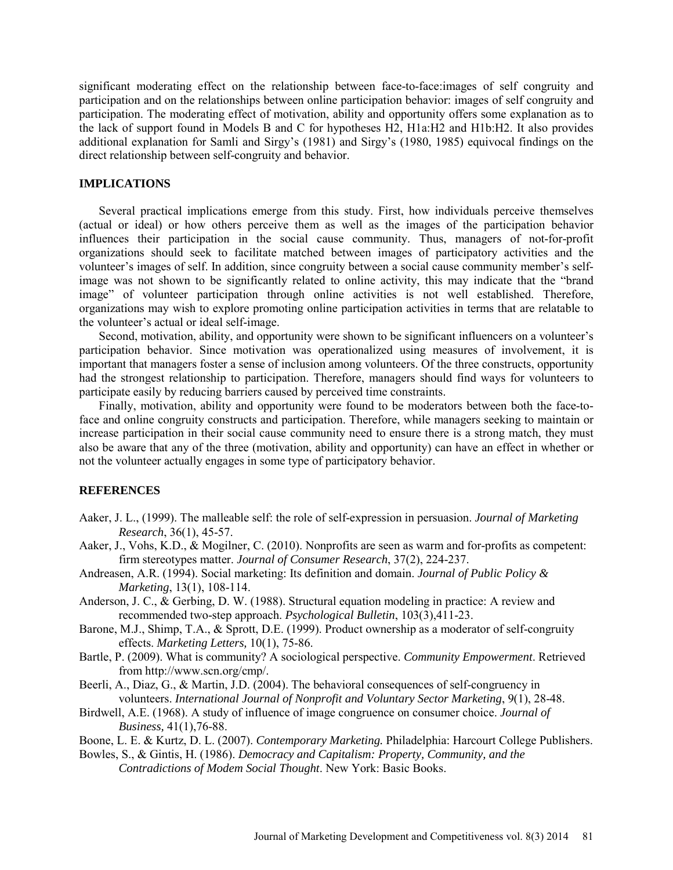significant moderating effect on the relationship between face-to-face:images of self congruity and participation and on the relationships between online participation behavior: images of self congruity and participation. The moderating effect of motivation, ability and opportunity offers some explanation as to the lack of support found in Models B and C for hypotheses H2, H1a:H2 and H1b:H2. It also provides additional explanation for Samli and Sirgy's (1981) and Sirgy's (1980, 1985) equivocal findings on the direct relationship between self-congruity and behavior.

## **IMPLICATIONS**

Several practical implications emerge from this study. First, how individuals perceive themselves (actual or ideal) or how others perceive them as well as the images of the participation behavior influences their participation in the social cause community. Thus, managers of not-for-profit organizations should seek to facilitate matched between images of participatory activities and the volunteer's images of self. In addition, since congruity between a social cause community member's selfimage was not shown to be significantly related to online activity, this may indicate that the "brand image" of volunteer participation through online activities is not well established. Therefore, organizations may wish to explore promoting online participation activities in terms that are relatable to the volunteer's actual or ideal self-image.

Second, motivation, ability, and opportunity were shown to be significant influencers on a volunteer's participation behavior. Since motivation was operationalized using measures of involvement, it is important that managers foster a sense of inclusion among volunteers. Of the three constructs, opportunity had the strongest relationship to participation. Therefore, managers should find ways for volunteers to participate easily by reducing barriers caused by perceived time constraints.

Finally, motivation, ability and opportunity were found to be moderators between both the face-toface and online congruity constructs and participation. Therefore, while managers seeking to maintain or increase participation in their social cause community need to ensure there is a strong match, they must also be aware that any of the three (motivation, ability and opportunity) can have an effect in whether or not the volunteer actually engages in some type of participatory behavior.

## **REFERENCES**

- Aaker, J. L., (1999). The malleable self: the role of self-expression in persuasion. *Journal of Marketing Research*, 36(1), 45-57.
- Aaker, J., Vohs, K.D., & Mogilner, C. (2010). Nonprofits are seen as warm and for-profits as competent: firm stereotypes matter. *Journal of Consumer Research*, 37(2), 224-237.
- Andreasen, A.R. (1994). Social marketing: Its definition and domain. *Journal of Public Policy & Marketing*, 13(1), 108-114.
- Anderson, J. C., & Gerbing, D. W. (1988). Structural equation modeling in practice: A review and recommended two-step approach. *Psychological Bulletin*, 103(3),411-23.
- [Barone,](http://www.springerlink.com/content/?Author=Michael+J.+Barone) M.J., Shimp, T.A., & [Sprott,](http://www.springerlink.com/content/?Author=David+E.+Sprott) D.E. (1999). Product ownership as a moderator of self-congruity effects. *[Marketing Letters,](http://www.springerlink.com/content/0923-0645/)* [10\(1\)](http://www.springerlink.com/content/0923-0645/10/1/), 75-86.
- Bartle, P. (2009). What is community? A sociological perspective. *Community Empowerment*. Retrieved from http://www.scn.org/cmp/.

Beerli, A., Diaz, G., & Martin, J.D. (2004). The behavioral consequences of self-congruency in volunteers. *International Journal of Nonprofit and Voluntary Sector Marketing*, 9(1), 28-48.

Birdwell, A.E. (1968). A study of influence of image congruence on consumer choice. *Journal of Business,* 41(1),76-88.

Boone, L. E. & Kurtz, D. L. (2007). *Contemporary Marketing.* Philadelphia: Harcourt College Publishers.

Bowles, S., & Gintis, H. (1986). *Democracy and Capitalism: Property, Community, and the Contradictions of Modem Social Thought*. New York: Basic Books.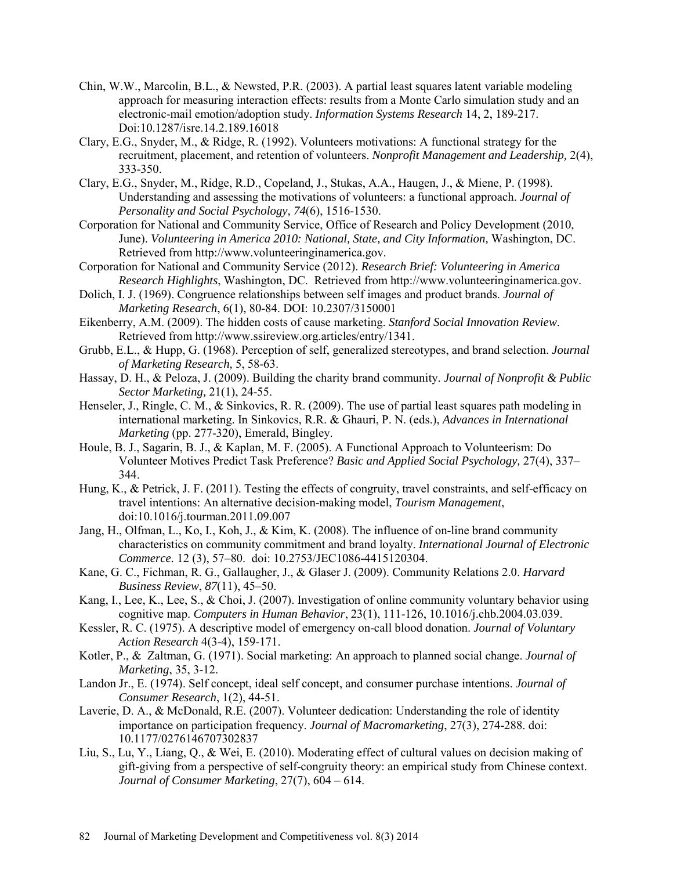- Chin, W.W., Marcolin, B.L., & Newsted, P.R. (2003). A partial least squares latent variable modeling approach for measuring interaction effects: results from a Monte Carlo simulation study and an electronic-mail emotion/adoption study. *Information Systems Research* 14, 2, 189-217. Doi:10.1287/isre.14.2.189.16018
- Clary, E.G., Snyder, M., & Ridge, R. (1992). Volunteers motivations: A functional strategy for the recruitment, placement, and retention of volunteers. *Nonprofit Management and Leadership,* 2(4), 333-350.
- Clary, E.G., Snyder, M., Ridge, R.D., Copeland, J., Stukas, A.A., Haugen, J., & Miene, P. (1998). Understanding and assessing the motivations of volunteers: a functional approach. *Journal of Personality and Social Psychology, 74*(6), 1516-1530.
- Corporation for National and Community Service, Office of Research and Policy Development (2010, June). *Volunteering in America 2010: National, State, and City Information,* Washington, DC. Retrieved from http://www.volunteeringinamerica.gov.
- Corporation for National and Community Service (2012). *Research Brief: Volunteering in America Research Highlights*, Washington, DC. Retrieved from http://www.volunteeringinamerica.gov.
- Dolich, I. J. (1969). Congruence relationships between self images and product brands. *Journal of Marketing Research*, 6(1), 80-84. DOI: 10.2307/3150001
- Eikenberry, A.M. (2009). The hidden costs of cause marketing. *Stanford Social Innovation Review*. Retrieved from http://www.ssireview.org.articles/entry/1341.
- Grubb, E.L., & Hupp, G. (1968). Perception of self, generalized stereotypes, and brand selection. *Journal of Marketing Research,* 5, 58-63.
- Hassay, D. H., & Peloza, J. (2009). Building the charity brand community. *Journal of Nonprofit & Public Sector Marketing,* 21(1), 24-55.
- Henseler, J., Ringle, C. M., & Sinkovics, R. R. (2009). The use of partial least squares path modeling in international marketing. In Sinkovics, R.R. & Ghauri, P. N. (eds.), *Advances in International Marketing* (pp. 277-320), Emerald, Bingley.
- Houle, B. J., Sagarin, B. J., & Kaplan, M. F. (2005). A Functional Approach to Volunteerism: Do Volunteer Motives Predict Task Preference? *Basic and Applied Social Psychology,* 27(4), 337– 344.
- Hung, K., & Petrick, J. F. (2011). Testing the effects of congruity, travel constraints, and self-efficacy on travel intentions: An alternative decision-making model, *Tourism Management*, doi:10.1016/j.tourman.2011.09.007
- Jang, H., Olfman, L., Ko, I., Koh, J., & Kim, K. (2008). The influence of on-line brand community characteristics on community commitment and brand loyalty. *International Journal of Electronic Commerce.* 12 (3), 57–80. doi: 10.2753/JEC1086-4415120304.
- Kane, G. C., Fichman, R. G., Gallaugher, J., & Glaser J. (2009). Community Relations 2.0. *Harvard Business Review*, *87*(11), 45–50.
- Kang, I., Lee, K., Lee, S., & Choi, J. (2007). Investigation of online community voluntary behavior using cognitive map. *Computers in Human Behavior*, 23(1), 111-126, 10.1016/j.chb.2004.03.039.
- Kessler, R. C. (1975). A descriptive model of emergency on-call blood donation. *Journal of Voluntary Action Research* 4(3-4), 159-171.
- Kotler, P., & Zaltman, G. (1971). Social marketing: An approach to planned social change. *Journal of Marketing*, 35, 3-12.
- Landon Jr., E. (1974). Self concept, ideal self concept, and consumer purchase intentions. *Journal of Consumer Research*, 1(2), 44-51.
- Laverie, D. A., & McDonald, R.E. (2007). Volunteer dedication: Understanding the role of identity importance on participation frequency. *Journal of Macromarketing*, 27(3), 274-288. doi: 10.1177/0276146707302837
- Liu, S., Lu, Y., Liang, Q., & Wei, E. (2010). Moderating effect of cultural values on decision making of gift-giving from a perspective of self-congruity theory: an empirical study from Chinese context. *Journal of Consumer Marketing*, 27(7), 604 – 614.